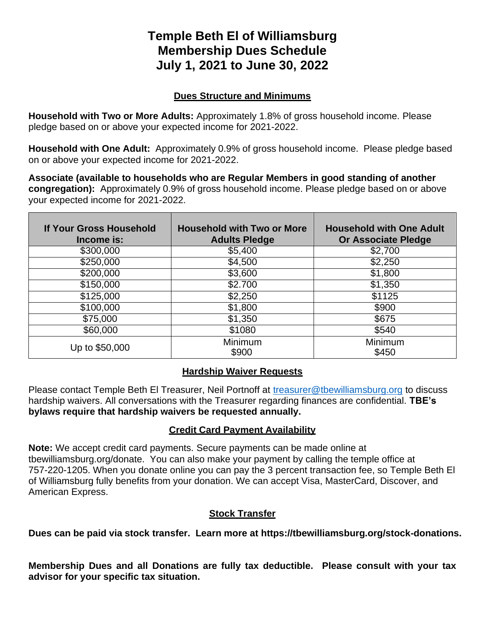# **Temple Beth El of Williamsburg Membership Dues Schedule July 1, 2021 to June 30, 2022**

### **Dues Structure and Minimums**

**Household with Two or More Adults:** Approximately 1.8% of gross household income. Please pledge based on or above your expected income for 2021-2022.

**Household with One Adult:** Approximately 0.9% of gross household income. Please pledge based on or above your expected income for 2021-2022.

**Associate (available to households who are Regular Members in good standing of another congregation):** Approximately 0.9% of gross household income. Please pledge based on or above your expected income for 2021-2022.

| If Your Gross Household<br>Income is: | <b>Household with Two or More</b><br><b>Adults Pledge</b> | <b>Household with One Adult</b><br><b>Or Associate Pledge</b> |
|---------------------------------------|-----------------------------------------------------------|---------------------------------------------------------------|
| \$300,000                             | \$5,400                                                   | \$2,700                                                       |
| \$250,000                             | \$4,500                                                   | \$2,250                                                       |
| \$200,000                             | \$3,600                                                   | \$1,800                                                       |
| \$150,000                             | \$2.700                                                   | \$1,350                                                       |
| \$125,000                             | \$2,250                                                   | \$1125                                                        |
| \$100,000                             | \$1,800                                                   | \$900                                                         |
| \$75,000                              | \$1,350                                                   | \$675                                                         |
| \$60,000                              | \$1080                                                    | \$540                                                         |
| Up to \$50,000                        | Minimum<br>\$900                                          | Minimum<br>\$450                                              |

#### **Hardship Waiver Requests**

Please contact Temple Beth El Treasurer, Neil Portnoff at [treasurer@tbewilliamsburg.org](mailto:treasurer@tbewilliamsburg.org) to discuss hardship waivers. All conversations with the Treasurer regarding finances are confidential. **TBE's bylaws require that hardship waivers be requested annually.**

## **Credit Card Payment Availability**

**Note:** We accept credit card payments. Secure payments can be made online at tbewilliamsburg.org/donate. You can also make your payment by calling the temple office at 757-220-1205. When you donate online you can pay the 3 percent transaction fee, so Temple Beth El of Williamsburg fully benefits from your donation. We can accept Visa, MasterCard, Discover, and American Express.

#### **Stock Transfer**

**Dues can be paid via stock transfer. Learn more at https://tbewilliamsburg.org/stock-donations.**

**Membership Dues and all Donations are fully tax deductible. Please consult with your tax advisor for your specific tax situation.**